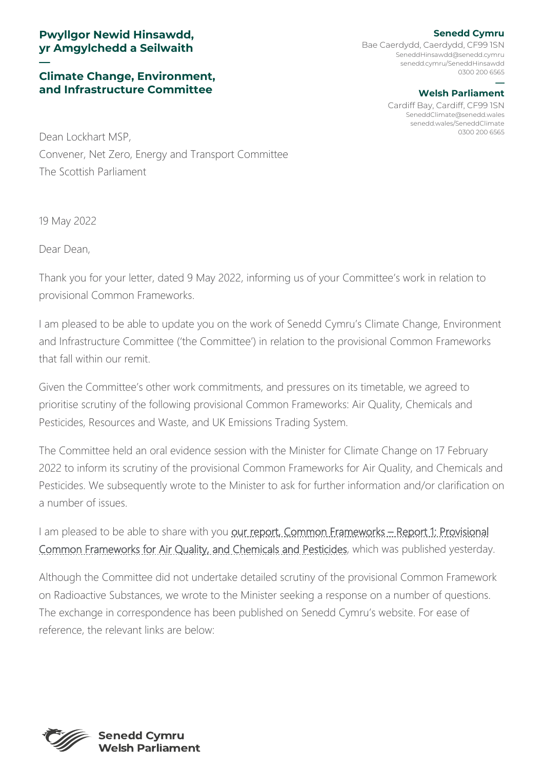## **Pwyllgor Newid Hinsawdd, yr Amgylchedd a Seilwaith**

## **— Climate Change, Environment, and Infrastructure Committee**

**Senedd Cymru** Bae Caerdydd, Caerdydd, CF99 1SN [SeneddHinsawdd@senedd.cymru](mailto:SeneddHinsawdd@senedd.cymru) senedd.cymru/SeneddHinsawdd 0300 200 6565

## **— Welsh Parliament**

Cardiff Bay, Cardiff, CF99 1SN [SeneddClimate@senedd.wales](mailto:SeneddClimate@senedd.wales) senedd.wales/SeneddClimate

0300 200 6565 Dean Lockhart MSP, Convener, Net Zero, Energy and Transport Committee The Scottish Parliament

19 May 2022

Dear Dean,

Thank you for your letter, dated 9 May 2022, informing us of your Committee's work in relation to provisional Common Frameworks.

I am pleased to be able to update you on the work of Senedd Cymru's Climate Change, Environment and Infrastructure Committee ('the Committee') in relation to the provisional Common Frameworks that fall within our remit.

Given the Committee's other work commitments, and pressures on its timetable, we agreed to prioritise scrutiny of the following provisional Common Frameworks: Air Quality, Chemicals and Pesticides, Resources and Waste, and UK Emissions Trading System.

The Committee held an oral evidence session with the Minister for Climate Change on 17 February 2022 to inform its scrutiny of the provisional Common Frameworks for Air Quality, and Chemicals and Pesticides. We subsequently wrote to the Minister to ask for further information and/or clarification on a number of issues.

I am pleased to be able to share with you our report, Common Frameworks - Report 1: Provisional [Common Frameworks for Air Quality, and Chemicals and Pesticides,](https://senedd.wales/media/4pphkodp/cr-ld15118-e.pdf) which was published yesterday.

Although the Committee did not undertake detailed scrutiny of the provisional Common Framework on Radioactive Substances, we wrote to the Minister seeking a response on a number of questions. The exchange in correspondence has been published on Senedd Cymru's website. For ease of reference, the relevant links are below: